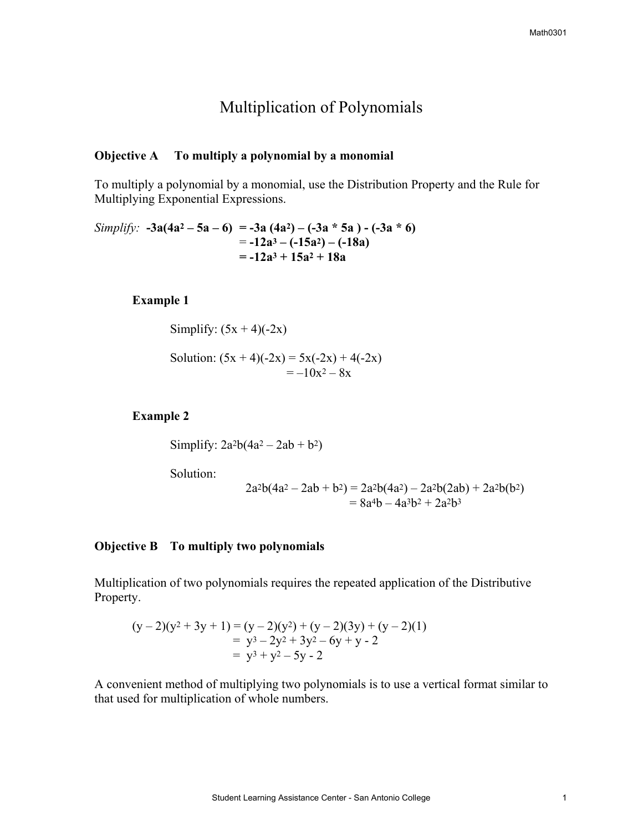# Multiplication of Polynomials

### **Objective A To multiply a polynomial by a monomial**

To multiply a polynomial by a monomial, use the Distribution Property and the Rule for Multiplying Exponential Expressions.

*Simplify*:  $-3a(4a^2 - 5a - 6) = -3a(4a^2) - (-3a * 5a) - (-3a * 6)$  $= -12a^3 - (-15a^2) - (-18a)$ **= -12a3 + 15a2 + 18a** 

### **Example 1**

Simplify:  $(5x + 4)(-2x)$ 

Solution:  $(5x + 4)(-2x) = 5x(-2x) + 4(-2x)$  $=-10x^2 - 8x$ 

#### **Example 2**

Simplify:  $2a^2b(4a^2 - 2ab + b^2)$ 

Solution:

$$
2a2b(4a2 - 2ab + b2) = 2a2b(4a2) - 2a2b(2ab) + 2a2b(b2) = 8a4b - 4a3b2 + 2a2b3
$$

#### **Objective B To multiply two polynomials**

Multiplication of two polynomials requires the repeated application of the Distributive Property.

$$
(y-2)(y2+3y+1) = (y-2)(y2) + (y-2)(3y) + (y-2)(1)
$$
  
= y<sup>3</sup> - 2y<sup>2</sup> + 3y<sup>2</sup> - 6y + y - 2  
= y<sup>3</sup> + y<sup>2</sup> - 5y - 2

A convenient method of multiplying two polynomials is to use a vertical format similar to that used for multiplication of whole numbers.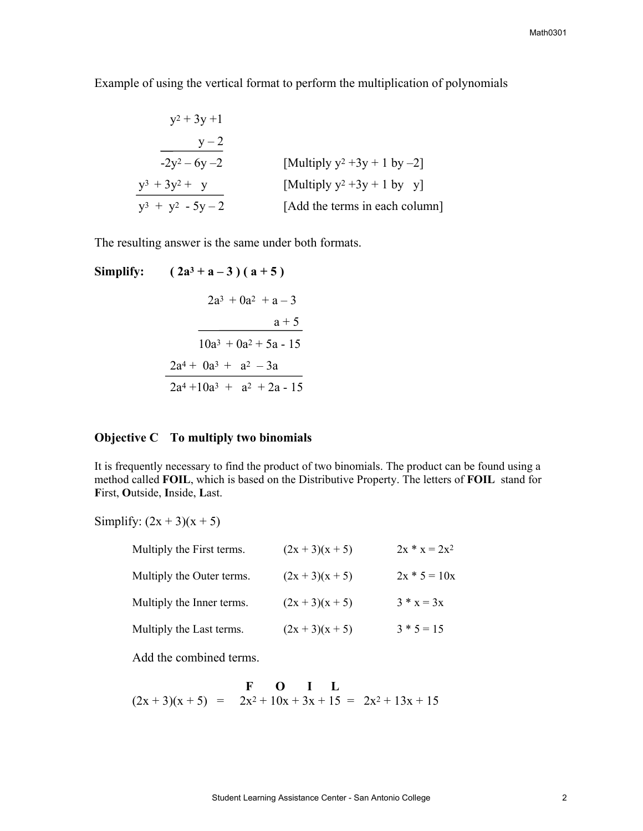Example of using the vertical format to perform the multiplication of polynomials

$$
y^{2} + 3y + 1
$$
\n
$$
y - 2
$$
\n
$$
-2y^{2} - 6y - 2
$$
\n[Multiply  $y^{2}$  + 3y + 1 by -2]\n
$$
y^{3} + 3y^{2} + y
$$
\n[Multiply  $y^{2}$  + 3y + 1 by y]\n
$$
y^{3} + y^{2} - 5y - 2
$$
\n[Add the terms in each column]

The resulting answer is the same under both formats.

Simplify: 
$$
(2a^3 + a - 3)(a + 5)
$$
  
\n $2a^3 + 0a^2 + a - 3$   
\n $\overline{\qquad \qquad } \qquad a + 5$   
\n $10a^3 + 0a^2 + 5a - 15$   
\n $\underline{2a^4 + 0a^3 + a^2 - 3a}$   
\n $2a^4 + 10a^3 + a^2 + 2a - 15$ 

### **Objective C To multiply two binomials**

It is frequently necessary to find the product of two binomials. The product can be found using a method called **FOIL**, which is based on the Distributive Property. The letters of **FOIL** stand for **F**irst, **O**utside, **I**nside, **L**ast.

Simplify:  $(2x + 3)(x + 5)$ 

| Multiply the First terms. | $(2x + 3)(x + 5)$ | $2x * x = 2x^2$ |
|---------------------------|-------------------|-----------------|
| Multiply the Outer terms. | $(2x + 3)(x + 5)$ | $2x * 5 = 10x$  |
| Multiply the Inner terms. | $(2x + 3)(x + 5)$ | $3 * x = 3x$    |
| Multiply the Last terms.  | $(2x + 3)(x + 5)$ | $3 * 5 = 15$    |

Add the combined terms.

$$
\begin{array}{rcl}\n\textbf{F} & \textbf{O} & \textbf{I} & \textbf{L} \\
(2x+3)(x+5) & = & 2x^2 + 10x + 3x + 15 = & 2x^2 + 13x + 15\n\end{array}
$$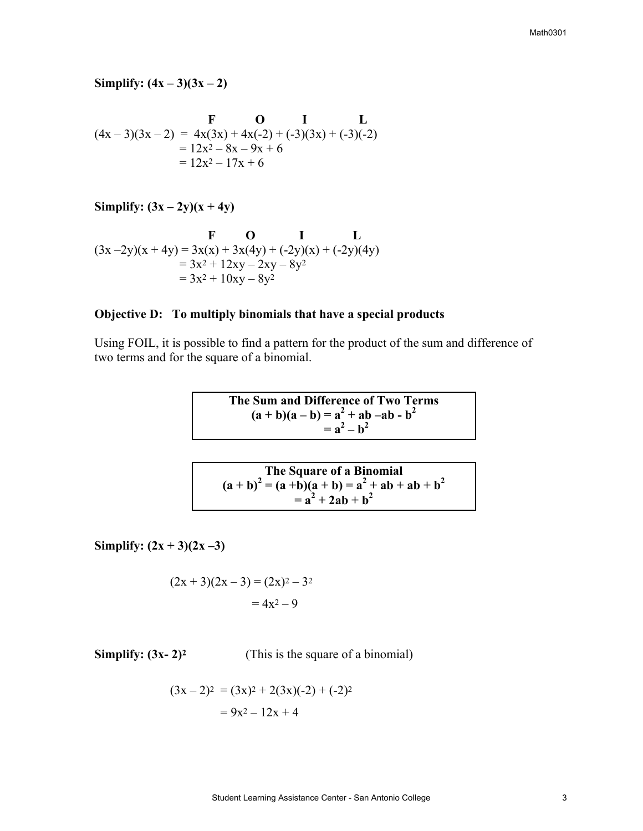# **Simplify:**  $(4x - 3)(3x - 2)$

$$
\begin{array}{rcl}\n\textbf{F} & \textbf{O} & \textbf{I} & \textbf{L} \\
(4x-3)(3x-2) &=& 4x(3x) + 4x(-2) + (-3)(3x) + (-3)(-2) \\
&=& 12x^2 - 8x - 9x + 6 \\
&=& 12x^2 - 17x + 6\n\end{array}
$$

**Simplify:**  $(3x - 2y)(x + 4y)$ 

$$
\begin{array}{r}\n\textbf{F} & \textbf{O} & \textbf{I} & \textbf{L} \\
(3x - 2y)(x + 4y) &= 3x(x) + 3x(4y) + (-2y)(x) + (-2y)(4y) \\
&= 3x^2 + 12xy - 2xy - 8y^2 \\
&= 3x^2 + 10xy - 8y^2\n\end{array}
$$

# **Objective D: To multiply binomials that have a special products**

Using FOIL, it is possible to find a pattern for the product of the sum and difference of two terms and for the square of a binomial.

The Sum and Difference of Two Terms  
\n
$$
(a + b)(a - b) = a2 + ab - ab - b2
$$
\n
$$
= a2 - b2
$$

The Square of a Binomial  
\n
$$
(a+b)^2 = (a+b)(a+b) = a^2 + ab + ab + b^2
$$
\n
$$
= a^2 + 2ab + b^2
$$

**Simplify:**  $(2x + 3)(2x - 3)$ 

$$
(2x + 3)(2x-3) = (2x)^2 - 3^2
$$
  
= 4x<sup>2</sup> - 9

**Simplify:**  $(3x-2)^2$  (This is the square of a binomial)

$$
(3x-2)^2 = (3x)^2 + 2(3x)(-2) + (-2)^2
$$
  
= 9x<sup>2</sup> - 12x + 4